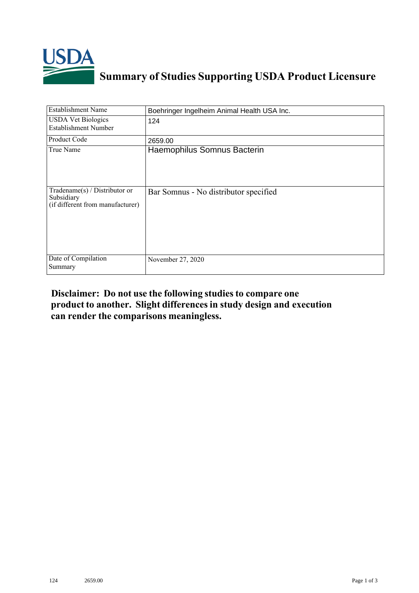

## **Summary of Studies Supporting USDA Product Licensure**

| <b>Establishment Name</b>                                                         | Boehringer Ingelheim Animal Health USA Inc. |
|-----------------------------------------------------------------------------------|---------------------------------------------|
| <b>USDA Vet Biologics</b><br><b>Establishment Number</b>                          | 124                                         |
| Product Code                                                                      | 2659.00                                     |
| True Name                                                                         | Haemophilus Somnus Bacterin                 |
| $Tradename(s) / Distributor$ or<br>Subsidiary<br>(if different from manufacturer) | Bar Somnus - No distributor specified       |
| Date of Compilation<br>Summary                                                    | November 27, 2020                           |

## **Disclaimer: Do not use the following studiesto compare one product to another. Slight differencesin study design and execution can render the comparisons meaningless.**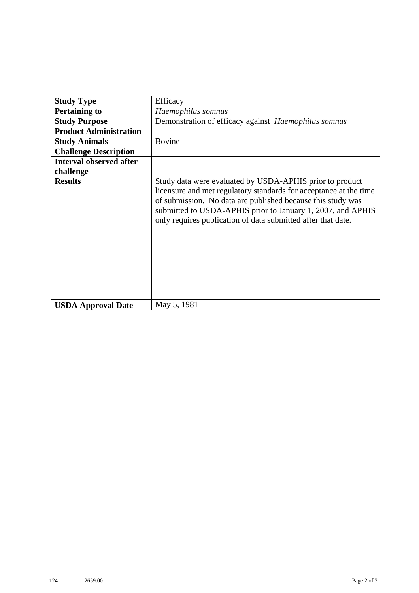| <b>Study Type</b>              | Efficacy                                                                                                                                                                                                                                                                                                                    |
|--------------------------------|-----------------------------------------------------------------------------------------------------------------------------------------------------------------------------------------------------------------------------------------------------------------------------------------------------------------------------|
| <b>Pertaining to</b>           | Haemophilus somnus                                                                                                                                                                                                                                                                                                          |
| <b>Study Purpose</b>           | Demonstration of efficacy against <i>Haemophilus somnus</i>                                                                                                                                                                                                                                                                 |
| <b>Product Administration</b>  |                                                                                                                                                                                                                                                                                                                             |
| <b>Study Animals</b>           | <b>Bovine</b>                                                                                                                                                                                                                                                                                                               |
| <b>Challenge Description</b>   |                                                                                                                                                                                                                                                                                                                             |
| <b>Interval observed after</b> |                                                                                                                                                                                                                                                                                                                             |
| challenge                      |                                                                                                                                                                                                                                                                                                                             |
| <b>Results</b>                 | Study data were evaluated by USDA-APHIS prior to product<br>licensure and met regulatory standards for acceptance at the time<br>of submission. No data are published because this study was<br>submitted to USDA-APHIS prior to January 1, 2007, and APHIS<br>only requires publication of data submitted after that date. |
| <b>USDA Approval Date</b>      | May 5, 1981                                                                                                                                                                                                                                                                                                                 |